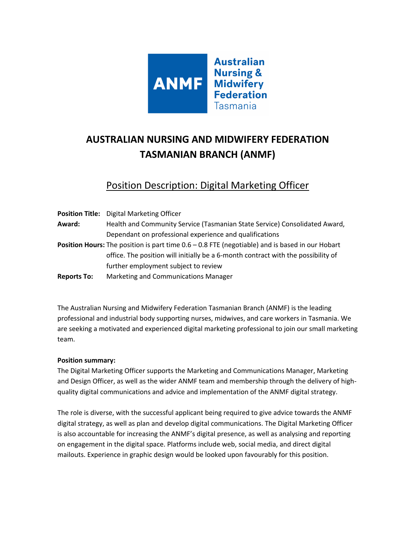

# **AUSTRALIAN NURSING AND MIDWIFERY FEDERATION TASMANIAN BRANCH (ANMF)**

Position Description: Digital Marketing Officer

|                    | <b>Position Title:</b> Digital Marketing Officer                                                |
|--------------------|-------------------------------------------------------------------------------------------------|
| Award:             | Health and Community Service (Tasmanian State Service) Consolidated Award,                      |
|                    | Dependant on professional experience and qualifications                                         |
|                    | Position Hours: The position is part time 0.6 - 0.8 FTE (negotiable) and is based in our Hobart |
|                    | office. The position will initially be a 6-month contract with the possibility of               |
|                    | further employment subject to review                                                            |
| <b>Reports To:</b> | Marketing and Communications Manager                                                            |

The Australian Nursing and Midwifery Federation Tasmanian Branch (ANMF) is the leading professional and industrial body supporting nurses, midwives, and care workers in Tasmania. We are seeking a motivated and experienced digital marketing professional to join our small marketing team.

#### **Position summary:**

The Digital Marketing Officer supports the Marketing and Communications Manager, Marketing and Design Officer, as well as the wider ANMF team and membership through the delivery of highquality digital communications and advice and implementation of the ANMF digital strategy.

The role is diverse, with the successful applicant being required to give advice towards the ANMF digital strategy, as well as plan and develop digital communications. The Digital Marketing Officer is also accountable for increasing the ANMF's digital presence, as well as analysing and reporting on engagement in the digital space. Platforms include web, social media, and direct digital mailouts. Experience in graphic design would be looked upon favourably for this position.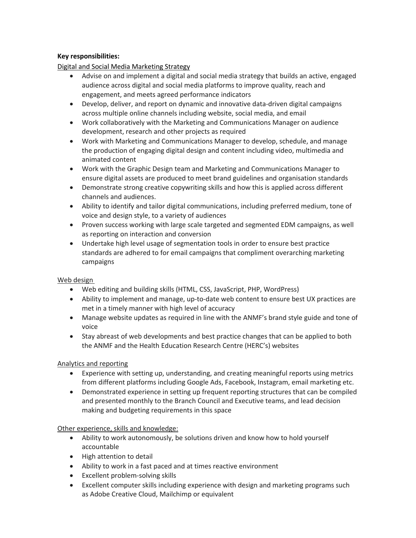## **Key responsibilities:**

Digital and Social Media Marketing Strategy

- Advise on and implement a digital and social media strategy that builds an active, engaged audience across digital and social media platforms to improve quality, reach and engagement, and meets agreed performance indicators
- Develop, deliver, and report on dynamic and innovative data-driven digital campaigns across multiple online channels including website, social media, and email
- Work collaboratively with the Marketing and Communications Manager on audience development, research and other projects as required
- Work with Marketing and Communications Manager to develop, schedule, and manage the production of engaging digital design and content including video, multimedia and animated content
- Work with the Graphic Design team and Marketing and Communications Manager to ensure digital assets are produced to meet brand guidelines and organisation standards
- Demonstrate strong creative copywriting skills and how this is applied across different channels and audiences.
- Ability to identify and tailor digital communications, including preferred medium, tone of voice and design style, to a variety of audiences
- Proven success working with large scale targeted and segmented EDM campaigns, as well as reporting on interaction and conversion
- Undertake high level usage of segmentation tools in order to ensure best practice standards are adhered to for email campaigns that compliment overarching marketing campaigns

#### Web design

- Web editing and building skills (HTML, CSS, JavaScript, PHP, WordPress)
- Ability to implement and manage, up-to-date web content to ensure best UX practices are met in a timely manner with high level of accuracy
- Manage website updates as required in line with the ANMF's brand style guide and tone of voice
- Stay abreast of web developments and best practice changes that can be applied to both the ANMF and the Health Education Research Centre (HERC's) websites

## Analytics and reporting

- Experience with setting up, understanding, and creating meaningful reports using metrics from different platforms including Google Ads, Facebook, Instagram, email marketing etc.
- Demonstrated experience in setting up frequent reporting structures that can be compiled and presented monthly to the Branch Council and Executive teams, and lead decision making and budgeting requirements in this space

## Other experience, skills and knowledge:

- Ability to work autonomously, be solutions driven and know how to hold yourself accountable
- High attention to detail
- Ability to work in a fast paced and at times reactive environment
- Excellent problem-solving skills
- Excellent computer skills including experience with design and marketing programs such as Adobe Creative Cloud, Mailchimp or equivalent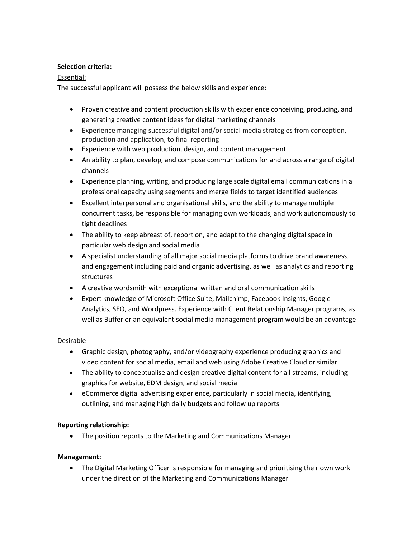#### **Selection criteria:**

## Essential:

The successful applicant will possess the below skills and experience:

- Proven creative and content production skills with experience conceiving, producing, and generating creative content ideas for digital marketing channels
- Experience managing successful digital and/or social media strategies from conception, production and application, to final reporting
- Experience with web production, design, and content management
- An ability to plan, develop, and compose communications for and across a range of digital channels
- Experience planning, writing, and producing large scale digital email communications in a professional capacity using segments and merge fields to target identified audiences
- Excellent interpersonal and organisational skills, and the ability to manage multiple concurrent tasks, be responsible for managing own workloads, and work autonomously to tight deadlines
- The ability to keep abreast of, report on, and adapt to the changing digital space in particular web design and social media
- A specialist understanding of all major social media platforms to drive brand awareness, and engagement including paid and organic advertising, as well as analytics and reporting structures
- A creative wordsmith with exceptional written and oral communication skills
- Expert knowledge of Microsoft Office Suite, Mailchimp, Facebook Insights, Google Analytics, SEO, and Wordpress. Experience with Client Relationship Manager programs, as well as Buffer or an equivalent social media management program would be an advantage

## Desirable

- Graphic design, photography, and/or videography experience producing graphics and video content for social media, email and web using Adobe Creative Cloud or similar
- The ability to conceptualise and design creative digital content for all streams, including graphics for website, EDM design, and social media
- eCommerce digital advertising experience, particularly in social media, identifying, outlining, and managing high daily budgets and follow up reports

## **Reporting relationship:**

• The position reports to the Marketing and Communications Manager

## **Management:**

• The Digital Marketing Officer is responsible for managing and prioritising their own work under the direction of the Marketing and Communications Manager